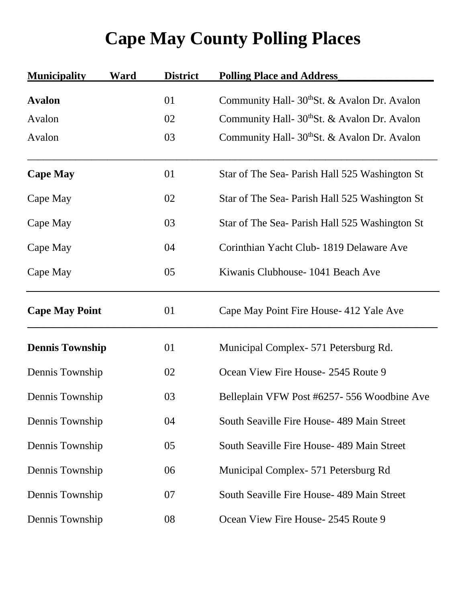## **Cape May County Polling Places**

| <b>Municipality</b>    | <b>Ward</b> | <b>District</b> | <b>Polling Place and Address</b>               |
|------------------------|-------------|-----------------|------------------------------------------------|
| <b>Avalon</b>          |             | 01              | Community Hall- 30th St. & Avalon Dr. Avalon   |
| Avalon                 |             | 02              | Community Hall- 30th St. & Avalon Dr. Avalon   |
| Avalon                 |             | 03              | Community Hall- 30th St. & Avalon Dr. Avalon   |
| <b>Cape May</b>        |             | 01              | Star of The Sea- Parish Hall 525 Washington St |
| Cape May               |             | 02              | Star of The Sea- Parish Hall 525 Washington St |
| Cape May               |             | 03              | Star of The Sea- Parish Hall 525 Washington St |
| Cape May               |             | 04              | Corinthian Yacht Club-1819 Delaware Ave        |
| Cape May               |             | 05              | Kiwanis Clubhouse - 1041 Beach Ave             |
| <b>Cape May Point</b>  |             | 01              | Cape May Point Fire House- 412 Yale Ave        |
| <b>Dennis Township</b> |             | 01              | Municipal Complex - 571 Petersburg Rd.         |
| Dennis Township        |             | 02              | Ocean View Fire House- 2545 Route 9            |
| Dennis Township        |             | 03              | Belleplain VFW Post #6257-556 Woodbine Ave     |
| Dennis Township        |             | 04              | South Seaville Fire House- 489 Main Street     |
| Dennis Township        |             | 05              | South Seaville Fire House- 489 Main Street     |
| Dennis Township        |             | 06              | Municipal Complex- 571 Petersburg Rd           |
| Dennis Township        |             | 07              | South Seaville Fire House- 489 Main Street     |
| Dennis Township        |             | 08              | Ocean View Fire House-2545 Route 9             |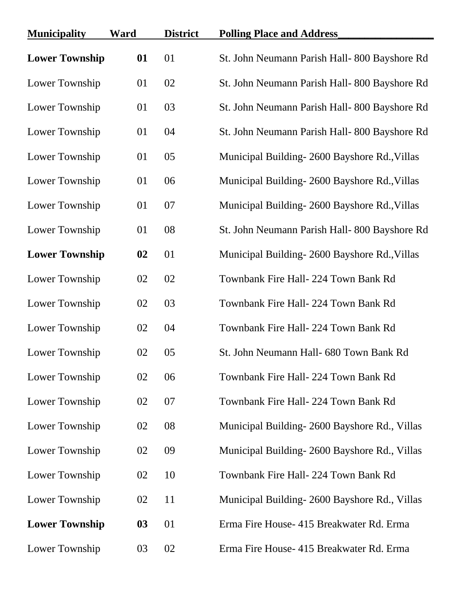| <b>Municipality</b>   | Ward | <b>District</b> | <b>Polling Place and Address</b>              |
|-----------------------|------|-----------------|-----------------------------------------------|
| <b>Lower Township</b> | 01   | 01              | St. John Neumann Parish Hall-800 Bayshore Rd  |
| Lower Township        | 01   | 02              | St. John Neumann Parish Hall-800 Bayshore Rd  |
| Lower Township        | 01   | 03              | St. John Neumann Parish Hall-800 Bayshore Rd  |
| Lower Township        | 01   | 04              | St. John Neumann Parish Hall- 800 Bayshore Rd |
| Lower Township        | 01   | 05              | Municipal Building-2600 Bayshore Rd., Villas  |
| Lower Township        | 01   | 06              | Municipal Building-2600 Bayshore Rd., Villas  |
| Lower Township        | 01   | 07              | Municipal Building-2600 Bayshore Rd., Villas  |
| Lower Township        | 01   | 08              | St. John Neumann Parish Hall-800 Bayshore Rd  |
| <b>Lower Township</b> | 02   | 01              | Municipal Building-2600 Bayshore Rd., Villas  |
| Lower Township        | 02   | 02              | Townbank Fire Hall- 224 Town Bank Rd          |
| Lower Township        | 02   | 03              | Townbank Fire Hall- 224 Town Bank Rd          |
| Lower Township        | 02   | 04              | Townbank Fire Hall- 224 Town Bank Rd          |
| Lower Township        | 02   | 05              | St. John Neumann Hall- 680 Town Bank Rd       |
| Lower Township        | 02   | 06              | Townbank Fire Hall- 224 Town Bank Rd          |
| Lower Township        | 02   | 07              | Townbank Fire Hall- 224 Town Bank Rd          |
| Lower Township        | 02   | 08              | Municipal Building-2600 Bayshore Rd., Villas  |
| Lower Township        | 02   | 09              | Municipal Building-2600 Bayshore Rd., Villas  |
| Lower Township        | 02   | 10              | Townbank Fire Hall- 224 Town Bank Rd          |
| Lower Township        | 02   | 11              | Municipal Building-2600 Bayshore Rd., Villas  |
| <b>Lower Township</b> | 03   | 01              | Erma Fire House- 415 Breakwater Rd. Erma      |
| Lower Township        | 03   | 02              | Erma Fire House- 415 Breakwater Rd. Erma      |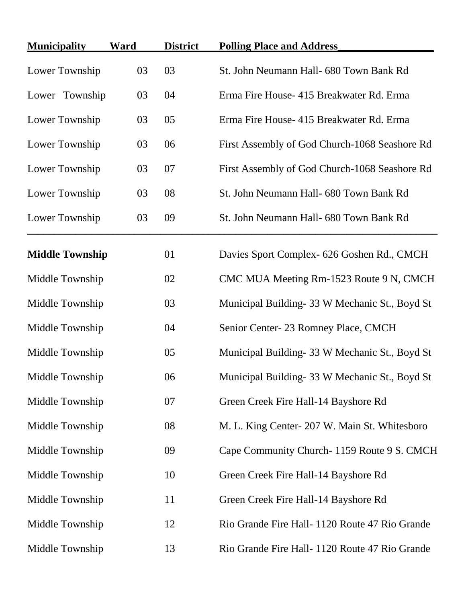| <b>Municipality</b>    | Ward | <b>District</b> | <b>Polling Place and Address</b>                |
|------------------------|------|-----------------|-------------------------------------------------|
| Lower Township         | 03   | 03              | St. John Neumann Hall- 680 Town Bank Rd         |
| Lower Township         | 03   | 04              | Erma Fire House- 415 Breakwater Rd. Erma        |
| Lower Township         | 03   | 05              | Erma Fire House- 415 Breakwater Rd. Erma        |
| Lower Township         | 03   | 06              | First Assembly of God Church-1068 Seashore Rd   |
| Lower Township         | 03   | 07              | First Assembly of God Church-1068 Seashore Rd   |
| Lower Township         | 03   | 08              | St. John Neumann Hall- 680 Town Bank Rd         |
| Lower Township         | 03   | 09              | St. John Neumann Hall- 680 Town Bank Rd         |
| <b>Middle Township</b> |      | 01              | Davies Sport Complex- 626 Goshen Rd., CMCH      |
| Middle Township        |      | 02              | CMC MUA Meeting Rm-1523 Route 9 N, CMCH         |
| Middle Township        |      | 03              | Municipal Building - 33 W Mechanic St., Boyd St |
| Middle Township        |      | 04              | Senior Center-23 Romney Place, CMCH             |
| Middle Township        |      | 05              | Municipal Building- 33 W Mechanic St., Boyd St  |
| Middle Township        |      | 06              | Municipal Building - 33 W Mechanic St., Boyd St |
| Middle Township        |      | 07              | Green Creek Fire Hall-14 Bayshore Rd            |
| Middle Township        |      | 08              | M. L. King Center- 207 W. Main St. Whitesboro   |
| Middle Township        |      | 09              | Cape Community Church-1159 Route 9 S. CMCH      |
| Middle Township        |      | 10              | Green Creek Fire Hall-14 Bayshore Rd            |
| Middle Township        |      | 11              | Green Creek Fire Hall-14 Bayshore Rd            |
| Middle Township        |      | 12              | Rio Grande Fire Hall- 1120 Route 47 Rio Grande  |
| Middle Township        |      | 13              | Rio Grande Fire Hall- 1120 Route 47 Rio Grande  |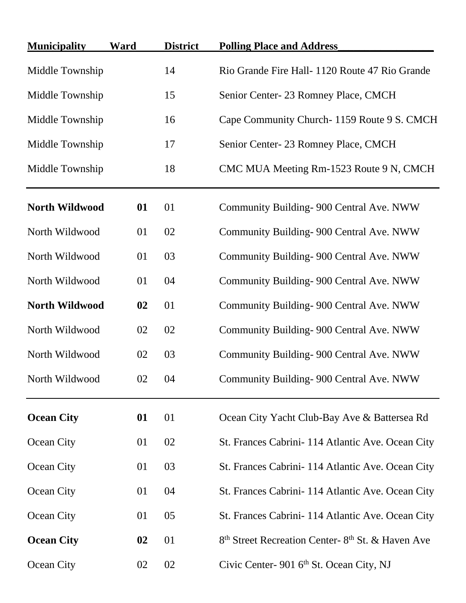| <b>Municipality</b>   | Ward | <b>District</b> | <b>Polling Place and Address</b>                                         |
|-----------------------|------|-----------------|--------------------------------------------------------------------------|
| Middle Township       |      | 14              | Rio Grande Fire Hall-1120 Route 47 Rio Grande                            |
| Middle Township       |      | 15              | Senior Center-23 Romney Place, CMCH                                      |
| Middle Township       |      | 16              | Cape Community Church-1159 Route 9 S. CMCH                               |
| Middle Township       |      | 17              | Senior Center-23 Romney Place, CMCH                                      |
| Middle Township       |      | 18              | CMC MUA Meeting Rm-1523 Route 9 N, CMCH                                  |
| North Wildwood        | 01   | 01              | Community Building- 900 Central Ave. NWW                                 |
| North Wildwood        | 01   | 02              | Community Building- 900 Central Ave. NWW                                 |
| North Wildwood        | 01   | 03              | Community Building- 900 Central Ave. NWW                                 |
| North Wildwood        | 01   | 04              | Community Building- 900 Central Ave. NWW                                 |
| <b>North Wildwood</b> | 02   | 01              | Community Building- 900 Central Ave. NWW                                 |
| North Wildwood        | 02   | 02              | Community Building- 900 Central Ave. NWW                                 |
| North Wildwood        | 02   | 03              | Community Building- 900 Central Ave. NWW                                 |
| North Wildwood        | 02   | 04              | Community Building- 900 Central Ave. NWW                                 |
| <b>Ocean City</b>     | 01   | 01              | Ocean City Yacht Club-Bay Ave & Battersea Rd                             |
| Ocean City            | 01   | 02              | St. Frances Cabrini - 114 Atlantic Ave. Ocean City                       |
| Ocean City            | 01   | 03              | St. Frances Cabrini - 114 Atlantic Ave. Ocean City                       |
| Ocean City            | 01   | 04              | St. Frances Cabrini- 114 Atlantic Ave. Ocean City                        |
| Ocean City            | 01   | 05              | St. Frances Cabrini - 114 Atlantic Ave. Ocean City                       |
| <b>Ocean City</b>     | 02   | 01              | 8 <sup>th</sup> Street Recreation Center-8 <sup>th</sup> St. & Haven Ave |
| Ocean City            | 02   | 02              | Civic Center- 901 6 <sup>th</sup> St. Ocean City, NJ                     |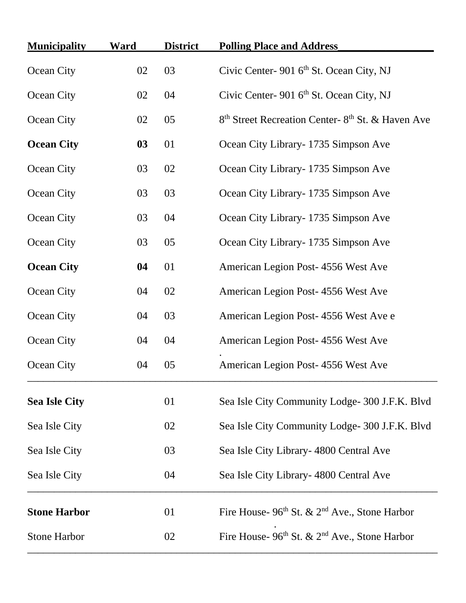| <b>Municipality</b>  | <b>Ward</b> | <b>District</b> | <b>Polling Place and Address</b>                                         |
|----------------------|-------------|-----------------|--------------------------------------------------------------------------|
| Ocean City           | 02          | 03              | Civic Center- 901 6 <sup>th</sup> St. Ocean City, NJ                     |
| Ocean City           | 02          | 04              | Civic Center- 901 6 <sup>th</sup> St. Ocean City, NJ                     |
| Ocean City           | 02          | 05              | 8 <sup>th</sup> Street Recreation Center-8 <sup>th</sup> St. & Haven Ave |
| <b>Ocean City</b>    | 03          | 01              | Ocean City Library - 1735 Simpson Ave                                    |
| Ocean City           | 03          | 02              | Ocean City Library - 1735 Simpson Ave                                    |
| Ocean City           | 03          | 03              | Ocean City Library- 1735 Simpson Ave                                     |
| Ocean City           | 03          | 04              | Ocean City Library - 1735 Simpson Ave                                    |
| Ocean City           | 03          | 05              | Ocean City Library - 1735 Simpson Ave                                    |
| <b>Ocean City</b>    | 04          | 01              | American Legion Post-4556 West Ave                                       |
| Ocean City           | 04          | 02              | American Legion Post-4556 West Ave                                       |
| Ocean City           | 04          | 03              | American Legion Post-4556 West Ave e                                     |
| Ocean City           | 04          | 04              | American Legion Post-4556 West Ave                                       |
| Ocean City           | 04          | 05              | American Legion Post-4556 West Ave                                       |
| <b>Sea Isle City</b> |             | 01              | Sea Isle City Community Lodge- 300 J.F.K. Blvd                           |
| Sea Isle City        |             | 02              | Sea Isle City Community Lodge-300 J.F.K. Blvd                            |
| Sea Isle City        |             | 03              | Sea Isle City Library - 4800 Central Ave                                 |
| Sea Isle City        |             | 04              | Sea Isle City Library - 4800 Central Ave                                 |
| <b>Stone Harbor</b>  |             | 01              | Fire House- $96th$ St. & $2nd$ Ave., Stone Harbor                        |
| <b>Stone Harbor</b>  |             | 02              | Fire House- 96th St. & 2 <sup>nd</sup> Ave., Stone Harbor                |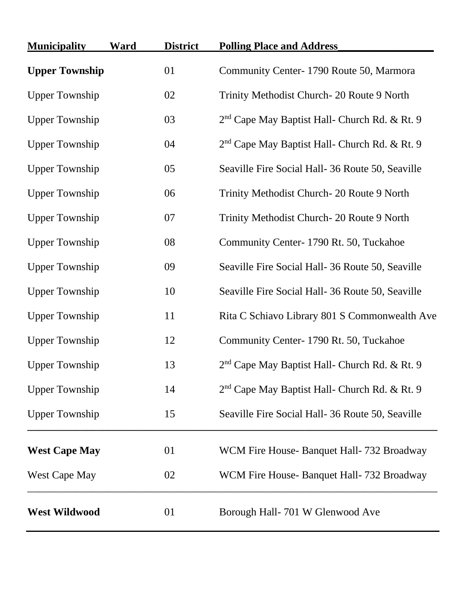| <b>Municipality</b>   | Ward | <b>District</b> | <b>Polling Place and Address</b>                          |
|-----------------------|------|-----------------|-----------------------------------------------------------|
| <b>Upper Township</b> |      | 01              | Community Center-1790 Route 50, Marmora                   |
| <b>Upper Township</b> |      | 02              | Trinity Methodist Church-20 Route 9 North                 |
| <b>Upper Township</b> |      | 03              | 2 <sup>nd</sup> Cape May Baptist Hall- Church Rd. & Rt. 9 |
| <b>Upper Township</b> |      | 04              | 2 <sup>nd</sup> Cape May Baptist Hall- Church Rd. & Rt. 9 |
| <b>Upper Township</b> |      | 05              | Seaville Fire Social Hall- 36 Route 50, Seaville          |
| <b>Upper Township</b> |      | 06              | Trinity Methodist Church-20 Route 9 North                 |
| <b>Upper Township</b> |      | 07              | Trinity Methodist Church-20 Route 9 North                 |
| <b>Upper Township</b> |      | 08              | Community Center-1790 Rt. 50, Tuckahoe                    |
| <b>Upper Township</b> |      | 09              | Seaville Fire Social Hall- 36 Route 50, Seaville          |
| <b>Upper Township</b> |      | 10              | Seaville Fire Social Hall-36 Route 50, Seaville           |
| <b>Upper Township</b> |      | 11              | Rita C Schiavo Library 801 S Commonwealth Ave             |
| <b>Upper Township</b> |      | 12              | Community Center-1790 Rt. 50, Tuckahoe                    |
| <b>Upper Township</b> |      | 13              | 2 <sup>nd</sup> Cape May Baptist Hall- Church Rd. & Rt. 9 |
| <b>Upper Township</b> |      | 14              | 2 <sup>nd</sup> Cape May Baptist Hall- Church Rd. & Rt. 9 |
| <b>Upper Township</b> |      | 15              | Seaville Fire Social Hall-36 Route 50, Seaville           |
| <b>West Cape May</b>  |      | 01              | WCM Fire House- Banquet Hall- 732 Broadway                |
| <b>West Cape May</b>  |      | 02              | WCM Fire House- Banquet Hall- 732 Broadway                |
| <b>West Wildwood</b>  |      | 01              | Borough Hall- 701 W Glenwood Ave                          |